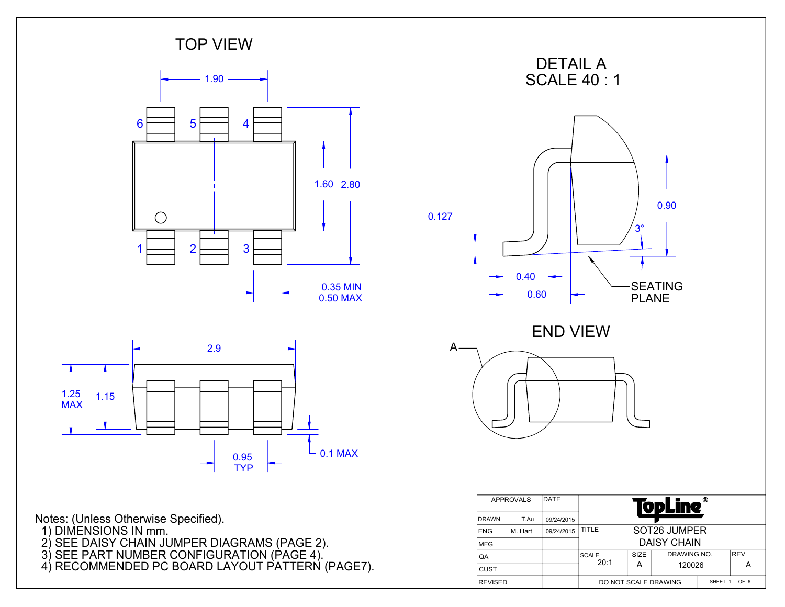

- 2) SEE DAISY CHAIN JUMPER DIAGRAMS (PAGE 2). 3) SEE PART NUMBER CONFIGURATION (PAGE 4).
- 4) RECOMMENDED PC BOARD LAYOUT PATTERN (PAGE7).

| DATE<br><b>APPROVALS</b> |         |            |                                                          |  | <b>fopLine</b>     | ® |  |
|--------------------------|---------|------------|----------------------------------------------------------|--|--------------------|---|--|
| <b>IDRAWN</b>            | T.Au    | 09/24/2015 |                                                          |  |                    |   |  |
| <b>IENG</b>              | M. Hart | 09/24/2015 | SOT26 JUMPER<br>TITLE                                    |  |                    |   |  |
| <b>MFG</b>               |         |            |                                                          |  | <b>DAISY CHAIN</b> |   |  |
| QA                       |         |            | DRAWING NO.<br><b>REV</b><br><b>SIZE</b><br><b>SCALE</b> |  |                    |   |  |
| <b>CUST</b>              |         |            | 20:1<br>А<br>120026<br>А                                 |  |                    |   |  |
| <b>REVISED</b>           |         |            | OF 6<br>DO NOT SCALE DRAWING<br>SHEET 1                  |  |                    |   |  |

3°

0.90

**SEATING** PLANE

END VIEW

DETAIL A SCALE 40 : 1

0.40

 $\rightarrow$ 

0.60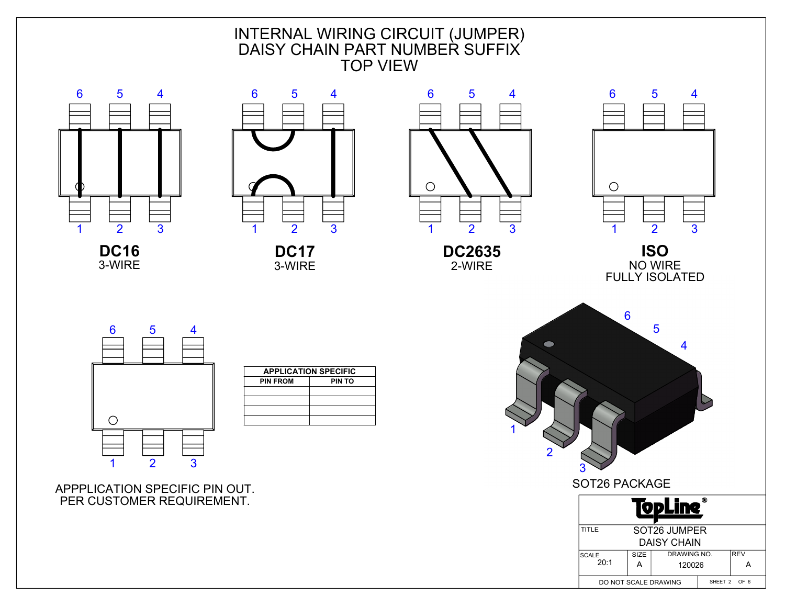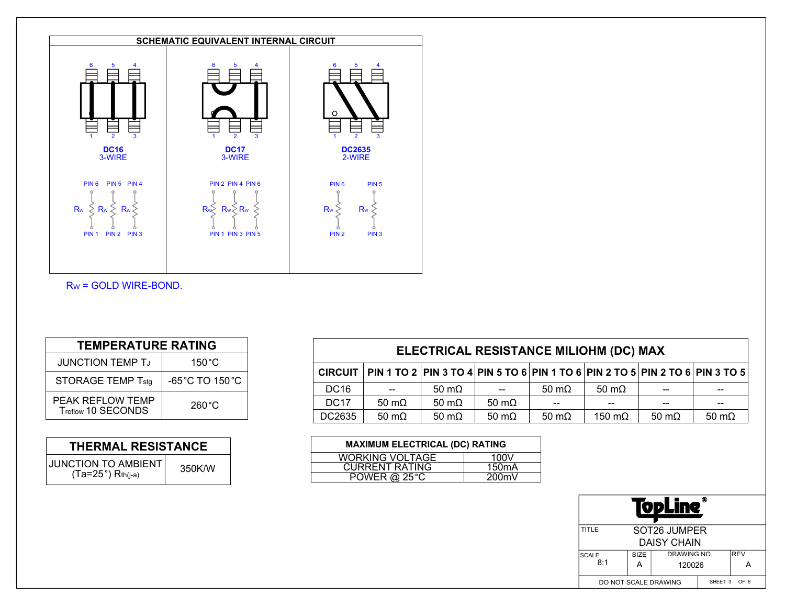

RW = GOLD WIRE-BOND.

| <b>TEMPERATURE RATING</b>              |                                     |  |  |  |  |
|----------------------------------------|-------------------------------------|--|--|--|--|
| <b>JUNCTION TEMP TJ</b>                | $150^{\circ}$ C                     |  |  |  |  |
| <b>STORAGE TEMP Tstg</b>               | $-65^{\circ}$ C TO 150 $^{\circ}$ C |  |  |  |  |
| PEAK REFLOW TEMP<br>Treflow 10 SECONDS | $260^{\circ}$ C                     |  |  |  |  |

| <b>THERMAL RESISTANCE</b>                            |        |  |  |  |  |
|------------------------------------------------------|--------|--|--|--|--|
| JUNCTION TO AMBIENT <sup>1</sup><br>Ta=25°) Rth(j-a) | 350K/W |  |  |  |  |

| ELECTRICAL RESISTANCE MILIOHM (DC) MAX |                                                                              |               |                      |               |                |               |               |  |
|----------------------------------------|------------------------------------------------------------------------------|---------------|----------------------|---------------|----------------|---------------|---------------|--|
| <b>CIRCUIT</b>                         | PIN 1 TO 2 PIN 3 TO 4 PIN 5 TO 6 PIN 1 TO 6 PIN 2 TO 5 PIN 2 TO 6 PIN 3 TO 5 |               |                      |               |                |               |               |  |
| <b>DC16</b>                            | $- -$                                                                        | 50 m $\Omega$ | $- -$                | 50 m $\Omega$ | 50 m $\Omega$  | --            | $- -$         |  |
| <b>DC17</b>                            | 50 m $\Omega$                                                                | 50 m $\Omega$ | $50 \text{ m}\Omega$ | --            | $- -$          | --            | $- -$         |  |
| DC2635                                 | $50 \text{ m}\Omega$                                                         | 50 m $\Omega$ | 50 m $\Omega$        | 50 m $\Omega$ | 150 m $\Omega$ | 50 m $\Omega$ | 50 m $\Omega$ |  |

| <b>MAXIMUM ELECTRICAL (DC) RATING</b> |                    |  |  |  |  |  |
|---------------------------------------|--------------------|--|--|--|--|--|
| <b>WORKING VOLTAGE</b>                | 100V               |  |  |  |  |  |
| <b>CURRENT RATING</b>                 | 150 <sub>m</sub> A |  |  |  |  |  |
| <b>POWER @ 25 °C</b><br>200mV         |                    |  |  |  |  |  |

| ⋒<br>VDL                                                           |                                    |  |  |  |  |  |  |
|--------------------------------------------------------------------|------------------------------------|--|--|--|--|--|--|
| TITLE                                                              | SOT26 JUMPER<br><b>DAISY CHAIN</b> |  |  |  |  |  |  |
| <b>REV</b><br>DRAWING NO.<br>SIZE<br><b>SCALE</b><br>8:1<br>120026 |                                    |  |  |  |  |  |  |
| SHEET 3 OF 6<br>DO NOT SCALE DRAWING                               |                                    |  |  |  |  |  |  |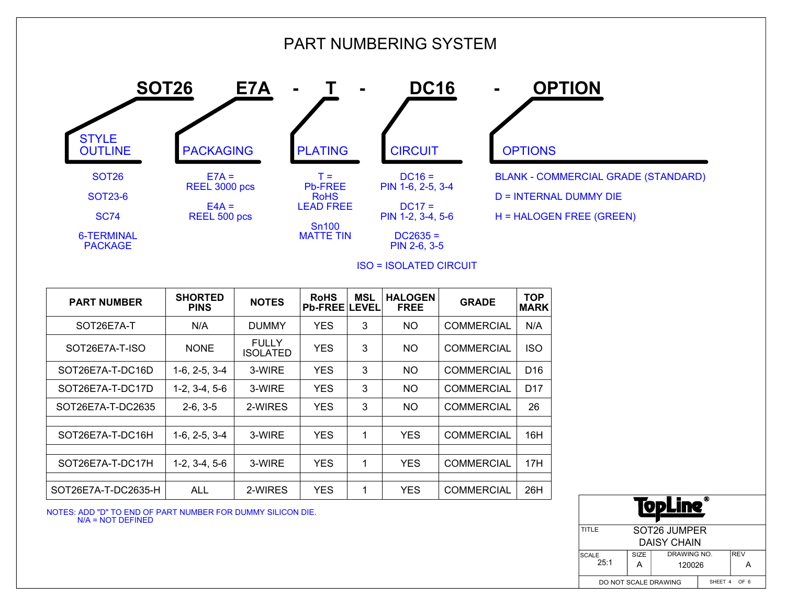

ISO = ISOLATED CIRCUIT

| <b>PART NUMBER</b>  | <b>SHORTED</b><br><b>PINS</b> | <b>NOTES</b>             | <b>RoHS</b><br><b>Pb-FREE LEVEL</b> | <b>MSL</b> | <b>HALOGEN</b><br><b>FREE</b> | <b>GRADE</b>      | <b>TOP</b><br><b>MARK</b> |
|---------------------|-------------------------------|--------------------------|-------------------------------------|------------|-------------------------------|-------------------|---------------------------|
| SOT26E7A-T          | N/A                           | <b>DUMMY</b>             | <b>YES</b>                          | 3          | <b>NO</b>                     | <b>COMMERCIAL</b> | N/A                       |
| SOT26E7A-T-ISO      | <b>NONE</b>                   | <b>FULLY</b><br>ISOLATED | <b>YES</b>                          | 3          | NO                            | <b>COMMERCIAL</b> | <b>ISO</b>                |
| SOT26E7A-T-DC16D    | $1-6, 2-5, 3-4$               | 3-WIRE                   | <b>YES</b>                          | 3          | <b>NO</b>                     | <b>COMMERCIAL</b> | D <sub>16</sub>           |
| SOT26E7A-T-DC17D    | $1-2, 3-4, 5-6$               | 3-WIRE                   | <b>YES</b>                          | 3          | <b>NO</b>                     | <b>COMMERCIAL</b> | D <sub>17</sub>           |
| SOT26E7A-T-DC2635   | $2-6, 3-5$                    | 2-WIRES                  | <b>YES</b>                          | 3          | <b>NO</b>                     | <b>COMMERCIAL</b> | 26                        |
|                     |                               |                          |                                     |            |                               |                   |                           |
| SOT26E7A-T-DC16H    | $1-6, 2-5, 3-4$               | 3-WIRE                   | <b>YES</b>                          | 1          | <b>YES</b>                    | <b>COMMERCIAL</b> | 16H                       |
|                     |                               |                          |                                     |            |                               |                   |                           |
| SOT26E7A-T-DC17H    | $1-2, 3-4, 5-6$               | 3-WIRE                   | <b>YES</b>                          | 1          | <b>YES</b>                    | <b>COMMERCIAL</b> | 17H                       |
|                     |                               |                          |                                     |            |                               |                   |                           |
| SOT26E7A-T-DC2635-H | <b>ALL</b>                    | 2-WIRES                  | <b>YES</b>                          | 1          | <b>YES</b>                    | <b>COMMERCIAL</b> | 26H                       |

NOTES: ADD "D" TO END OF PART NUMBER FOR DUMMY SILICON DIE. N/A = NOT DEFINED

**ODL** TITLE SOT26 JUMPER DAISY CHAIN **SCALE** SIZE DRAWING NO. REV 25:1 A 120026 ASHEET 4 OF 6 DO NOT SCALE DRAWING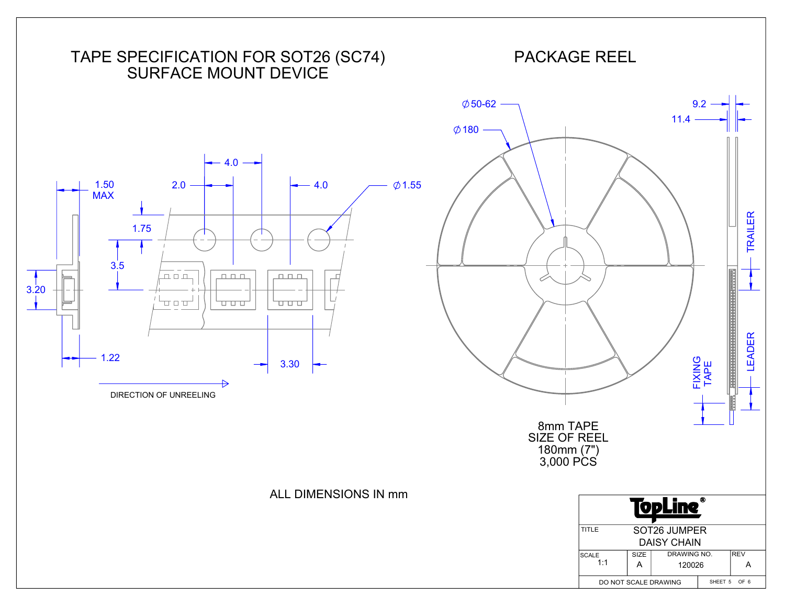